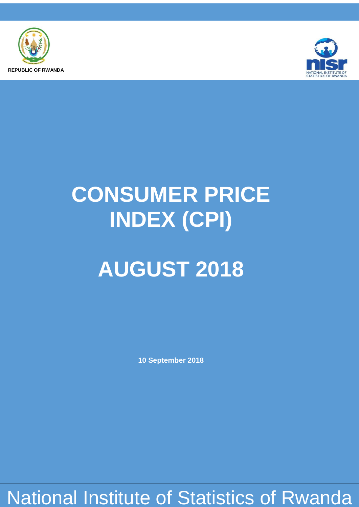



# **CONSUMER PRICE INDEX (CPI)**

# **AUGUST 2018**

**10 September 2018**

National Institute of Statistics of Rwanda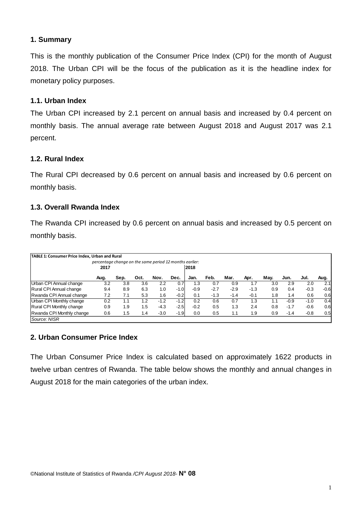#### **1. Summary**

This is the monthly publication of the Consumer Price Index (CPI) for the month of August 2018. The Urban CPI will be the focus of the publication as it is the headline index for monetary policy purposes.

## **1.1. Urban Index**

The Urban CPI increased by 2.1 percent on annual basis and increased by 0.4 percent on monthly basis. The annual average rate between August 2018 and August 2017 was 2.1 percent.

#### **1.2. Rural Index**

The Rural CPI decreased by 0.6 percent on annual basis and increased by 0.6 percent on monthly basis.

### **1.3. Overall Rwanda Index**

The Rwanda CPI increased by 0.6 percent on annual basis and increased by 0.5 percent on monthly basis.

| TABLE 1: Consumer Price Index, Urban and Rural |                                                         |      |      |        |        |        |        |        |        |      |        |        |        |
|------------------------------------------------|---------------------------------------------------------|------|------|--------|--------|--------|--------|--------|--------|------|--------|--------|--------|
|                                                | percentage change on the same period 12 months earlier: |      |      |        |        |        |        |        |        |      |        |        |        |
|                                                | 2017                                                    |      |      |        |        | 2018   |        |        |        |      |        |        |        |
|                                                | Aug.                                                    | Sep. | Oct. | Nov.   | Dec.   | Jan.   | Feb.   | Mar.   | Apr.   | May. | Jun.   | Jul.   | Aug.   |
| Urban CPI Annual change                        | 3.2                                                     | 3.8  | 3.6  | 2.2    | 0.7    | 1.3    | 0.7    | 0.9    | 1.7    | 3.0  | 2.9    | 2.0    | 2.1    |
| Rural CPI Annual change                        | 9.4                                                     | 8.9  | 6.3  | 1.0    | $-1.0$ | $-0.9$ | $-2.7$ | $-2.9$ | $-1.3$ | 0.9  | 0.4    | $-0.3$ | $-0.6$ |
| Rwanda CPI Annual change                       | 7.2                                                     | 7.1  | 5.3  | 1.6    | $-0.2$ | 0.1    | $-1.3$ | $-1.4$ | $-0.1$ | 1.8  | 1.4    | 0.6    | 0.6    |
| Urban CPI Monthly change                       | 0.2                                                     | 1.1  | 1.2  | $-1.2$ | $-1.2$ | 0.2    | 0.6    | 0.7    | 1.3    | 1.1  | $-0.9$ | $-1.0$ | 0.4    |
| <b>Rural CPI Monthly change</b>                | 0.9                                                     | 1.9  | 1.5  | $-4.3$ | $-2.5$ | $-0.2$ | 0.5    | 1.3    | 2.4    | 0.8  | $-1.7$ | $-0.6$ | 0.6    |
| Rwanda CPI Monthly change                      | 0.6                                                     | 1.5  | 1.4  | $-3.0$ | $-1.9$ | 0.0    | 0.5    | 1.1    | 1.9    | 0.9  | $-1.4$ | $-0.8$ | 0.5    |
| Source: NISR                                   |                                                         |      |      |        |        |        |        |        |        |      |        |        |        |

#### **2. Urban Consumer Price Index**

The Urban Consumer Price Index is calculated based on approximately 1622 products in twelve urban centres of Rwanda. The table below shows the monthly and annual changes in August 2018 for the main categories of the urban index.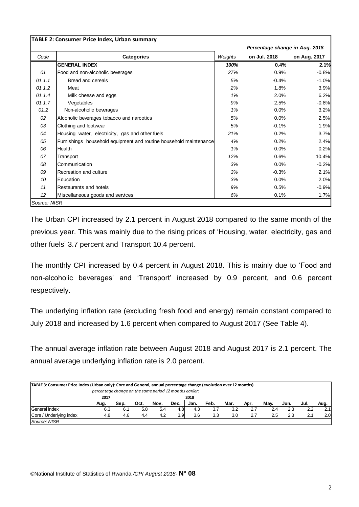|        |                                                                   |         | Percentage change in Aug. 2018 |              |  |
|--------|-------------------------------------------------------------------|---------|--------------------------------|--------------|--|
| Code   | Categories                                                        | Weights | on Jul. 2018                   | on Aug. 2017 |  |
|        | <b>GENERAL INDEX</b>                                              | 100%    | 0.4%                           | 2.1%         |  |
| 01     | Food and non-alcoholic beverages                                  | 27%     | 0.9%                           | $-0.8%$      |  |
| 01.1.1 | Bread and cereals                                                 | 5%      | $-0.4%$                        | $-1.0%$      |  |
| 01.1.2 | Meat                                                              | 2%      | 1.8%                           | 3.9%         |  |
| 01.1.4 | Milk cheese and eggs                                              | 1%      | 2.0%                           | 6.2%         |  |
| 01.1.7 | Vegetables                                                        | 9%      | 2.5%                           | $-0.8%$      |  |
| 01.2   | Non-alcoholic beverages                                           | 1%      | 0.0%                           | 3.2%         |  |
| 02     | Alcoholic beverages tobacco and narcotics                         | 5%      | 0.0%                           | 2.5%         |  |
| 03     | Clothing and footwear                                             | 5%      | $-0.1%$                        | 1.9%         |  |
| 04     | Housing water, electricity, gas and other fuels                   | 21%     | 0.2%                           | 3.7%         |  |
| 05     | Furnishings household equipment and routine household maintenance | 4%      | 0.2%                           | 2.4%         |  |
| 06     | Health                                                            | 1%      | 0.0%                           | 0.2%         |  |
| 07     | Transport                                                         | 12%     | 0.6%                           | 10.4%        |  |
| 08     | Communication                                                     | 3%      | 0.0%                           | $-0.2%$      |  |
| 09     | Recreation and culture                                            | 3%      | $-0.3%$                        | 2.1%         |  |
| 10     | Education                                                         | 3%      | 0.0%                           | 2.0%         |  |
| 11     | Restaurants and hotels                                            | 9%      | 0.5%                           | $-0.9%$      |  |
| 12     | Miscellaneous goods and services                                  | 6%      | 0.1%                           | 1.7%         |  |

The Urban CPI increased by 2.1 percent in August 2018 compared to the same month of the previous year. This was mainly due to the rising prices of 'Housing, water, electricity, gas and other fuels' 3.7 percent and Transport 10.4 percent.

The monthly CPI increased by 0.4 percent in August 2018. This is mainly due to 'Food and non-alcoholic beverages' and 'Transport' increased by 0.9 percent, and 0.6 percent respectively.

The underlying inflation rate (excluding fresh food and energy) remain constant compared to July 2018 and increased by 1.6 percent when compared to August 2017 (See Table 4).

The annual average inflation rate between August 2018 and August 2017 is 2.1 percent. The annual average underlying inflation rate is 2.0 percent.

| TABLE 3: Consumer Price Index (Urban only): Core and General, annual percentage change (evolution over 12 months) | percentage change on the same period 12 months earlier: |      |      |      |                  |      |      |      |      |      |      |      |      |
|-------------------------------------------------------------------------------------------------------------------|---------------------------------------------------------|------|------|------|------------------|------|------|------|------|------|------|------|------|
|                                                                                                                   | 2017                                                    |      |      |      |                  | 2018 |      |      |      |      |      |      |      |
|                                                                                                                   | Aug.                                                    | Sep. | Oct. | Nov. | Dec.             | Jan. | Feb. | Mar. | Apr. | Mav. | Jun. | Jul. | Aug. |
| General index                                                                                                     | 6.3                                                     | 6.1  | 5.8  | 5.4  | 4.81             | 4.3  | 3.7  | 3.2  | 2.7  | 2.4  | 2.3  | 2.2  | 2.11 |
| Core / Underlying index                                                                                           | 4.8                                                     | 4.6  | 4.4  | 4.2  | 3.9 <sup>°</sup> | 3.6  | 3.3  | 3.0  | 2.7  | 2.5  | 2.3  | 2.1  | 2.0  |
| Source: NISR                                                                                                      |                                                         |      |      |      |                  |      |      |      |      |      |      |      |      |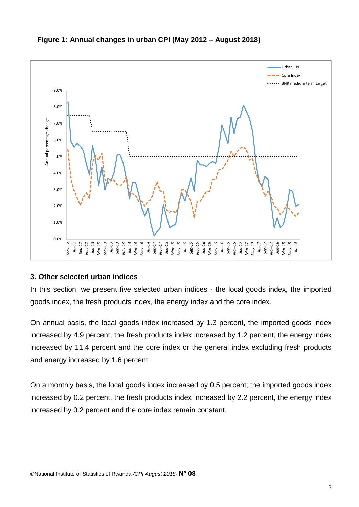

#### **Figure 1: Annual changes in urban CPI (May 2012 – August 2018)**

#### **3. Other selected urban indices**

In this section, we present five selected urban indices - the local goods index, the imported goods index, the fresh products index, the energy index and the core index.

On annual basis, the local goods index increased by 1.3 percent, the imported goods index increased by 4.9 percent, the fresh products index increased by 1.2 percent, the energy index increased by 11.4 percent and the core index or the general index excluding fresh products and energy increased by 1.6 percent.

On a monthly basis, the local goods index increased by 0.5 percent; the imported goods index increased by 0.2 percent, the fresh products index increased by 2.2 percent, the energy index increased by 0.2 percent and the core index remain constant.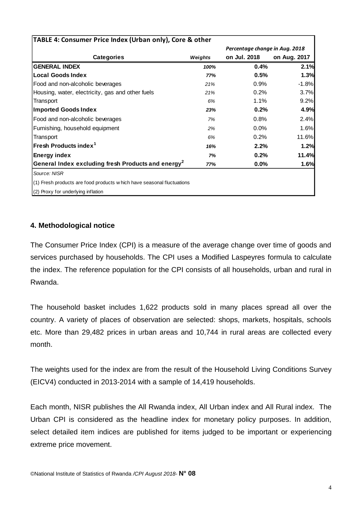| TABLE 4: Consumer Price Index (Urban only), Core & other               |         |                                |              |
|------------------------------------------------------------------------|---------|--------------------------------|--------------|
|                                                                        |         | Percentage change in Aug. 2018 |              |
| <b>Categories</b>                                                      | Weights | on Jul. 2018                   | on Aug. 2017 |
| <b>GENERAL INDEX</b>                                                   | 100%    | 0.4%                           | 2.1%         |
| <b>Local Goods Index</b>                                               | 77%     | 0.5%                           | 1.3%         |
| Food and non-alcoholic beverages                                       | 21%     | 0.9%                           | $-1.8%$      |
| Housing, water, electricity, gas and other fuels                       | 21%     | 0.2%                           | 3.7%         |
| Transport                                                              | 6%      | 1.1%                           | 9.2%         |
| <b>Imported Goods Index</b>                                            | 23%     | 0.2%                           | 4.9%         |
| Food and non-alcoholic beverages                                       | 7%      | 0.8%                           | 2.4%         |
| Furnishing, household equipment                                        | 2%      | 0.0%                           | 1.6%         |
| Transport                                                              | 6%      | 0.2%                           | 11.6%        |
| Fresh Products index <sup>1</sup>                                      | 16%     | 2.2%                           | 1.2%         |
| <b>Energy index</b>                                                    | 7%      | 0.2%                           | 11.4%        |
| General Index excluding fresh Products and energy <sup>2</sup>         | 77%     | 0.0%                           | 1.6%         |
| Source: NISR                                                           |         |                                |              |
| (1) Fresh products are food products w hich have seasonal fluctuations |         |                                |              |
| (2) Proxy for underlying inflation                                     |         |                                |              |

#### **4. Methodological notice**

The Consumer Price Index (CPI) is a measure of the average change over time of goods and services purchased by households. The CPI uses a Modified Laspeyres formula to calculate the index. The reference population for the CPI consists of all households, urban and rural in Rwanda.

The household basket includes 1,622 products sold in many places spread all over the country. A variety of places of observation are selected: shops, markets, hospitals, schools etc. More than 29,482 prices in urban areas and 10,744 in rural areas are collected every month.

The weights used for the index are from the result of the Household Living Conditions Survey (EICV4) conducted in 2013-2014 with a sample of 14,419 households.

Each month, NISR publishes the All Rwanda index, All Urban index and All Rural index. The Urban CPI is considered as the headline index for monetary policy purposes. In addition, select detailed item indices are published for items judged to be important or experiencing extreme price movement.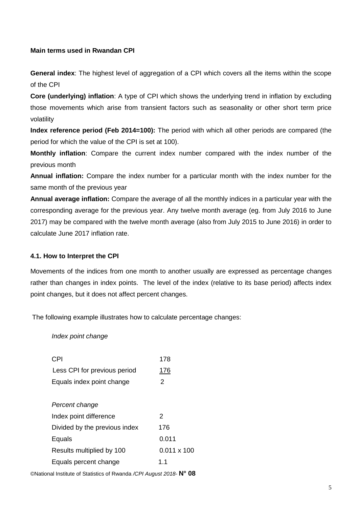#### **Main terms used in Rwandan CPI**

**General index**: The highest level of aggregation of a CPI which covers all the items within the scope of the CPI

**Core (underlying) inflation**: A type of CPI which shows the underlying trend in inflation by excluding those movements which arise from transient factors such as seasonality or other short term price volatility

**Index reference period (Feb 2014=100):** The period with which all other periods are compared (the period for which the value of the CPI is set at 100).

**Monthly inflation**: Compare the current index number compared with the index number of the previous month

**Annual inflation:** Compare the index number for a particular month with the index number for the same month of the previous year

**Annual average inflation:** Compare the average of all the monthly indices in a particular year with the corresponding average for the previous year. Any twelve month average (eg. from July 2016 to June 2017) may be compared with the twelve month average (also from July 2015 to June 2016) in order to calculate June 2017 inflation rate.

#### **4.1. How to Interpret the CPI**

Movements of the indices from one month to another usually are expressed as percentage changes rather than changes in index points. The level of the index (relative to its base period) affects index point changes, but it does not affect percent changes.

The following example illustrates how to calculate percentage changes:

*Index point change*

| CPI                           | 178                |
|-------------------------------|--------------------|
| Less CPI for previous period  | <u> 176</u>        |
| Equals index point change     | 2                  |
|                               |                    |
| Percent change                |                    |
| Index point difference        | 2                  |
| Divided by the previous index | 176                |
| Equals                        | 0.011              |
| Results multiplied by 100     | $0.011 \times 100$ |
| Equals percent change         | 1.1                |

©National Institute of Statistics of Rwanda */CPI August 2018*- **N° 08**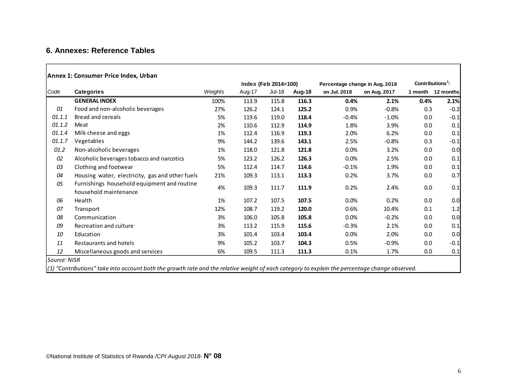## **6. Annexes: Reference Tables**

|  | Annex 1: Consumer Price Index, Urban |  |  |
|--|--------------------------------------|--|--|
|  |                                      |  |  |

|              |                                                                                                                                                       |         |        | Index (Feb 2014=100) |        | Percentage change in Aug. 2018 |              |         | Contributions <sup>1</sup> : |  |  |
|--------------|-------------------------------------------------------------------------------------------------------------------------------------------------------|---------|--------|----------------------|--------|--------------------------------|--------------|---------|------------------------------|--|--|
| Code         | <b>Categories</b>                                                                                                                                     | Weights | Aug-17 | <b>Jul-18</b>        | Aug-18 | on Jul. 2018                   | on Aug. 2017 | 1 month | 12 months                    |  |  |
|              | <b>GENERAL INDEX</b>                                                                                                                                  | 100%    | 113.9  | 115.8                | 116.3  | 0.4%                           | 2.1%         | 0.4%    | 2.1%                         |  |  |
| 01           | Food and non-alcoholic beverages                                                                                                                      | 27%     | 126.2  | 124.1                | 125.2  | 0.9%                           | $-0.8%$      | 0.3     | $-0.2$                       |  |  |
| 01.1.1       | Bread and cereals                                                                                                                                     | 5%      | 119.6  | 119.0                | 118.4  | $-0.4%$                        | $-1.0%$      | 0.0     | $-0.1$                       |  |  |
| 01.1.2       | Meat                                                                                                                                                  | 2%      | 110.6  | 112.9                | 114.9  | 1.8%                           | 3.9%         | 0.0     | 0.1                          |  |  |
| 01.1.4       | Milk cheese and eggs                                                                                                                                  | 1%      | 112.4  | 116.9                | 119.3  | 2.0%                           | 6.2%         | 0.0     | 0.1                          |  |  |
| 01.1.7       | Vegetables                                                                                                                                            | 9%      | 144.2  | 139.6                | 143.1  | 2.5%                           | $-0.8%$      | 0.3     | $-0.1$                       |  |  |
| 01.2         | Non-alcoholic beverages                                                                                                                               | 1%      | 118.0  | 121.8                | 121.8  | 0.0%                           | 3.2%         | 0.0     | 0.0                          |  |  |
| 02           | Alcoholic beverages tobacco and narcotics                                                                                                             | 5%      | 123.2  | 126.2                | 126.3  | $0.0\%$                        | 2.5%         | 0.0     | 0.1                          |  |  |
| 03           | Clothing and footwear                                                                                                                                 | 5%      | 112.4  | 114.7                | 114.6  | $-0.1%$                        | 1.9%         | 0.0     | 0.1                          |  |  |
| 04           | Housing water, electricity, gas and other fuels                                                                                                       | 21%     | 109.3  | 113.1                | 113.3  | 0.2%                           | 3.7%         | 0.0     | 0.7                          |  |  |
| 05           | Furnishings household equipment and routine<br>household maintenance                                                                                  | 4%      | 109.3  | 111.7                | 111.9  | 0.2%                           | 2.4%         | 0.0     | 0.1                          |  |  |
| 06           | Health                                                                                                                                                | 1%      | 107.2  | 107.5                | 107.5  | 0.0%                           | 0.2%         | 0.0     | 0.0                          |  |  |
| 07           | Transport                                                                                                                                             | 12%     | 108.7  | 119.2                | 120.0  | 0.6%                           | 10.4%        | 0.1     | 1.2                          |  |  |
| 08           | Communication                                                                                                                                         | 3%      | 106.0  | 105.8                | 105.8  | 0.0%                           | $-0.2%$      | 0.0     | 0.0                          |  |  |
| 09           | Recreation and culture                                                                                                                                | 3%      | 113.2  | 115.9                | 115.6  | $-0.3%$                        | 2.1%         | 0.0     | 0.1                          |  |  |
| 10           | Education                                                                                                                                             | 3%      | 101.4  | 103.4                | 103.4  | $0.0\%$                        | 2.0%         | 0.0     | 0.0                          |  |  |
| 11           | Restaurants and hotels                                                                                                                                | 9%      | 105.2  | 103.7                | 104.3  | 0.5%                           | $-0.9%$      | 0.0     | $-0.1$                       |  |  |
| 12           | Miscellaneous goods and services                                                                                                                      | 6%      | 109.5  | 111.3                | 111.3  | 0.1%                           | 1.7%         | 0.0     | 0.1                          |  |  |
| Source: NISR | la) locatule at a charles have concentrated to concentrate and the actual contracts contentated and the modern concentrated at an actual contracts of |         |        |                      |        |                                |              |         |                              |  |  |

*(1) "Contributions" take into account both the growth rate and the relative weight of each category to explain the percentage change observed.*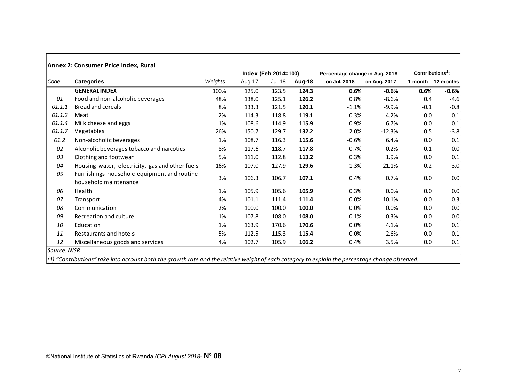|        |                                                                      |         |        | Index (Feb 2014=100) |        | Percentage change in Aug. 2018 |              | Contributions <sup>1</sup> : |                   |
|--------|----------------------------------------------------------------------|---------|--------|----------------------|--------|--------------------------------|--------------|------------------------------|-------------------|
| Code   | <b>Categories</b>                                                    | Weights | Aug-17 | <b>Jul-18</b>        | Aug-18 | on Jul. 2018                   | on Aug. 2017 |                              | 1 month 12 months |
|        | <b>GENERAL INDEX</b>                                                 | 100%    | 125.0  | 123.5                | 124.3  | 0.6%                           | $-0.6%$      | 0.6%                         | $-0.6%$           |
| 01     | Food and non-alcoholic beverages                                     | 48%     | 138.0  | 125.1                | 126.2  | 0.8%                           | $-8.6%$      | 0.4                          | $-4.6$            |
| 01.1.1 | Bread and cereals                                                    | 8%      | 133.3  | 121.5                | 120.1  | $-1.1%$                        | $-9.9%$      | $-0.1$                       | $-0.8$            |
| 01.1.2 | Meat                                                                 | 2%      | 114.3  | 118.8                | 119.1  | 0.3%                           | 4.2%         | 0.0                          | 0.1               |
| 01.1.4 | Milk cheese and eggs                                                 | 1%      | 108.6  | 114.9                | 115.9  | 0.9%                           | 6.7%         | 0.0                          | 0.1               |
| 01.1.7 | Vegetables                                                           | 26%     | 150.7  | 129.7                | 132.2  | 2.0%                           | $-12.3%$     | 0.5                          | $-3.8$            |
| 01.2   | Non-alcoholic beverages                                              | 1%      | 108.7  | 116.3                | 115.6  | $-0.6%$                        | 6.4%         | 0.0                          | 0.1               |
| 02     | Alcoholic beverages tobacco and narcotics                            | 8%      | 117.6  | 118.7                | 117.8  | $-0.7\%$                       | 0.2%         | $-0.1$                       | 0.0               |
| 03     | Clothing and footwear                                                | 5%      | 111.0  | 112.8                | 113.2  | 0.3%                           | 1.9%         | 0.0                          | 0.1               |
| 04     | Housing water, electricity, gas and other fuels                      | 16%     | 107.0  | 127.9                | 129.6  | 1.3%                           | 21.1%        | 0.2                          | 3.0               |
| 05     | Furnishings household equipment and routine<br>household maintenance | 3%      | 106.3  | 106.7                | 107.1  | 0.4%                           | 0.7%         | 0.0                          | 0.0               |
| 06     | Health                                                               | 1%      | 105.9  | 105.6                | 105.9  | 0.3%                           | 0.0%         | 0.0                          | 0.0               |
| 07     | Transport                                                            | 4%      | 101.1  | 111.4                | 111.4  | 0.0%                           | 10.1%        | 0.0                          | 0.3               |
| 08     | Communication                                                        | 2%      | 100.0  | 100.0                | 100.0  | 0.0%                           | 0.0%         | 0.0                          | 0.0               |
| 09     | Recreation and culture                                               | 1%      | 107.8  | 108.0                | 108.0  | 0.1%                           | 0.3%         | 0.0                          | 0.0               |
| 10     | Education                                                            | 1%      | 163.9  | 170.6                | 170.6  | 0.0%                           | 4.1%         | 0.0                          | 0.1               |
| 11     | <b>Restaurants and hotels</b>                                        | 5%      | 112.5  | 115.3                | 115.4  | 0.0%                           | 2.6%         | 0.0                          | 0.1               |
| 12     | Miscellaneous goods and services                                     | 4%      | 102.7  | 105.9                | 106.2  | 0.4%                           | 3.5%         | 0.0                          | 0.1               |

*(1) "Contributions" take into account both the growth rate and the relative weight of each category to explain the percentage change observed.*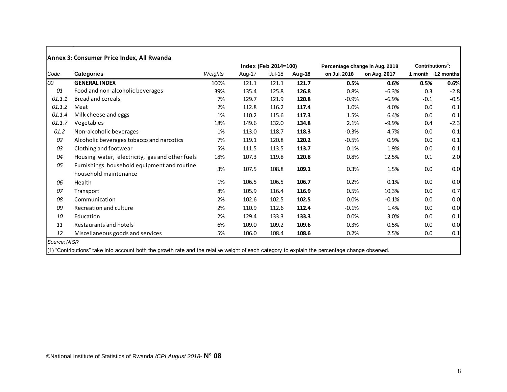|        |                                                                      |         |        | Index (Feb 2014=100) |        | Percentage change in Aug. 2018 |              | $Contributions1$ : |                   |
|--------|----------------------------------------------------------------------|---------|--------|----------------------|--------|--------------------------------|--------------|--------------------|-------------------|
| Code   | <b>Categories</b>                                                    | Weights | Aug-17 | $Jul-18$             | Aug-18 | on Jul. 2018                   | on Aug. 2017 |                    | 1 month 12 months |
| loo    | <b>GENERAL INDEX</b>                                                 | 100%    | 121.1  | 121.1                | 121.7  | 0.5%                           | 0.6%         | 0.5%               | 0.6%              |
| 01     | Food and non-alcoholic beverages                                     | 39%     | 135.4  | 125.8                | 126.8  | 0.8%                           | $-6.3%$      | 0.3                | $-2.8$            |
| 01.1.1 | <b>Bread and cereals</b>                                             | 7%      | 129.7  | 121.9                | 120.8  | $-0.9%$                        | $-6.9%$      | $-0.1$             | $-0.5$            |
| 01.1.2 | Meat                                                                 | 2%      | 112.8  | 116.2                | 117.4  | 1.0%                           | 4.0%         | 0.0                | 0.1               |
| 01.1.4 | Milk cheese and eggs                                                 | 1%      | 110.2  | 115.6                | 117.3  | 1.5%                           | 6.4%         | 0.0                | 0.1               |
| 01.1.7 | Vegetables                                                           | 18%     | 149.6  | 132.0                | 134.8  | 2.1%                           | $-9.9%$      | 0.4                | $-2.3$            |
| 01.2   | Non-alcoholic beverages                                              | 1%      | 113.0  | 118.7                | 118.3  | $-0.3%$                        | 4.7%         | 0.0                | 0.1               |
| 02     | Alcoholic beverages tobacco and narcotics                            | 7%      | 119.1  | 120.8                | 120.2  | $-0.5%$                        | 0.9%         | 0.0                | 0.1               |
| 03     | Clothing and footwear                                                | 5%      | 111.5  | 113.5                | 113.7  | 0.1%                           | 1.9%         | 0.0                | 0.1               |
| 04     | Housing water, electricity, gas and other fuels                      | 18%     | 107.3  | 119.8                | 120.8  | 0.8%                           | 12.5%        | 0.1                | 2.0               |
| 05     | Furnishings household equipment and routine<br>household maintenance | 3%      | 107.5  | 108.8                | 109.1  | 0.3%                           | 1.5%         | 0.0                | 0.0               |
| 06     | Health                                                               | 1%      | 106.5  | 106.5                | 106.7  | 0.2%                           | 0.1%         | 0.0                | 0.0               |
| 07     | Transport                                                            | 8%      | 105.9  | 116.4                | 116.9  | 0.5%                           | 10.3%        | 0.0                | 0.7               |
| 08     | Communication                                                        | 2%      | 102.6  | 102.5                | 102.5  | 0.0%                           | $-0.1%$      | 0.0                | 0.0               |
| 09     | Recreation and culture                                               | 2%      | 110.9  | 112.6                | 112.4  | $-0.1%$                        | 1.4%         | 0.0                | 0.0               |
| 10     | Education                                                            | 2%      | 129.4  | 133.3                | 133.3  | 0.0%                           | 3.0%         | 0.0                | 0.1               |
| 11     | Restaurants and hotels                                               | 6%      | 109.0  | 109.2                | 109.6  | 0.3%                           | 0.5%         | 0.0                | 0.0               |
| 12     | Miscellaneous goods and services                                     | 5%      | 106.0  | 108.4                | 108.6  | 0.2%                           | 2.5%         | 0.0                | 0.1               |